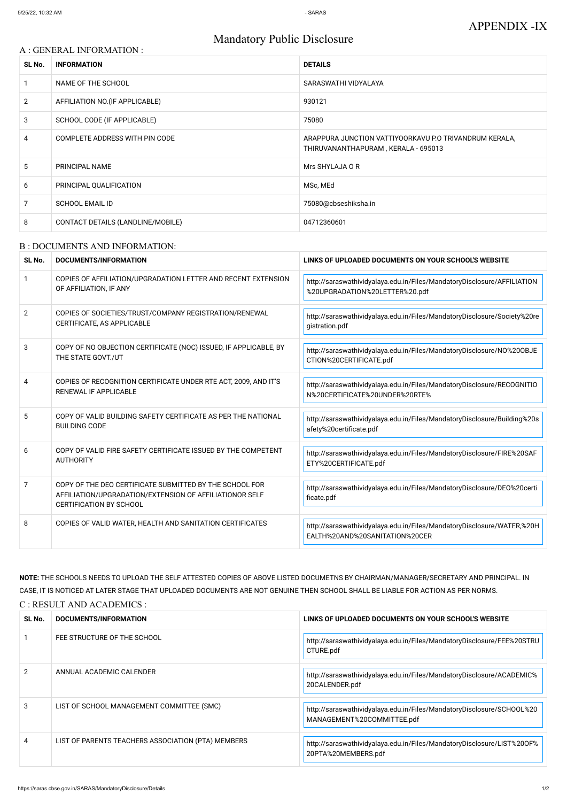# Mandatory Public Disclosure

### A : GENERAL INFORMATION :

| SL No.         | <b>INFORMATION</b>                | <b>DETAILS</b>                                                                                |
|----------------|-----------------------------------|-----------------------------------------------------------------------------------------------|
|                | NAME OF THE SCHOOL                | SARASWATHI VIDYALAYA                                                                          |
| $\overline{2}$ | AFFILIATION NO. (IF APPLICABLE)   | 930121                                                                                        |
| 3              | SCHOOL CODE (IF APPLICABLE)       | 75080                                                                                         |
| 4              | COMPLETE ADDRESS WITH PIN CODE    | ARAPPURA JUNCTION VATTIYOORKAVU P.O TRIVANDRUM KERALA,<br>THIRUVANANTHAPURAM, KERALA - 695013 |
| 5              | PRINCIPAL NAME                    | Mrs SHYLAJA O R                                                                               |
| 6              | PRINCIPAL QUALIFICATION           | MSc, MEd                                                                                      |
| 7              | <b>SCHOOL EMAIL ID</b>            | 75080@cbseshiksha.in                                                                          |
| 8              | CONTACT DETAILS (LANDLINE/MOBILE) | 04712360601                                                                                   |

#### B : DOCUMENTS AND INFORMATION:

| SL No.         | <b>DOCUMENTS/INFORMATION</b>                                                                                                                         | LINKS OF UPLOADED DOCUMENTS ON YOUR SCHOOL'S WEBSITE                                                      |
|----------------|------------------------------------------------------------------------------------------------------------------------------------------------------|-----------------------------------------------------------------------------------------------------------|
| $\mathbf{1}$   | COPIES OF AFFILIATION/UPGRADATION LETTER AND RECENT EXTENSION<br>OF AFFILIATION, IF ANY                                                              | http://saraswathividyalaya.edu.in/Files/MandatoryDisclosure/AFFILIATION<br>%20UPGRADATION%20LETTER%20.pdf |
| $\overline{2}$ | COPIES OF SOCIETIES/TRUST/COMPANY REGISTRATION/RENEWAL<br>CERTIFICATE, AS APPLICABLE                                                                 | http://saraswathividyalaya.edu.in/Files/MandatoryDisclosure/Society%20re<br>gistration.pdf                |
| 3              | COPY OF NO OBJECTION CERTIFICATE (NOC) ISSUED, IF APPLICABLE, BY<br>THE STATE GOVT./UT                                                               | http://saraswathividyalaya.edu.in/Files/MandatoryDisclosure/NO%20OBJE<br>CTION%20CERTIFICATE.pdf          |
| 4              | COPIES OF RECOGNITION CERTIFICATE UNDER RTE ACT, 2009, AND IT'S<br><b>RENEWAL IF APPLICABLE</b>                                                      | http://saraswathividyalaya.edu.in/Files/MandatoryDisclosure/RECOGNITIO<br>N%20CERTIFICATE%20UNDER%20RTE%  |
| 5              | COPY OF VALID BUILDING SAFETY CERTIFICATE AS PER THE NATIONAL<br><b>BUILDING CODE</b>                                                                | http://saraswathividyalaya.edu.in/Files/MandatoryDisclosure/Building%20s<br>afety%20certificate.pdf       |
| 6              | COPY OF VALID FIRE SAFETY CERTIFICATE ISSUED BY THE COMPETENT<br><b>AUTHORITY</b>                                                                    | http://saraswathividyalaya.edu.in/Files/MandatoryDisclosure/FIRE%20SAF<br>ETY%20CERTIFICATE.pdf           |
| $\overline{7}$ | COPY OF THE DEO CERTIFICATE SUBMITTED BY THE SCHOOL FOR<br>AFFILIATION/UPGRADATION/EXTENSION OF AFFILIATIONOR SELF<br><b>CERTIFICATION BY SCHOOL</b> | http://saraswathividyalaya.edu.in/Files/MandatoryDisclosure/DEO%20certi<br>ficate.pdf                     |
| 8              | COPIES OF VALID WATER, HEALTH AND SANITATION CERTIFICATES                                                                                            | http://saraswathividyalaya.edu.in/Files/MandatoryDisclosure/WATER,%20H<br>EALTH%20AND%20SANITATION%20CER  |

**NOTE:** THE SCHOOLS NEEDS TO UPLOAD THE SELF ATTESTED COPIES OF ABOVE LISTED DOCUMETNS BY CHAIRMAN/MANAGER/SECRETARY AND PRINCIPAL. IN CASE, IT IS NOTICED AT LATER STAGE THAT UPLOADED DOCUMENTS ARE NOT GENUINE THEN SCHOOL SHALL BE LIABLE FOR ACTION AS PER NORMS. C : RESULT AND ACADEMICS :

| SL No.        | DOCUMENTS/INFORMATION                              | LINKS OF UPLOADED DOCUMENTS ON YOUR SCHOOL'S WEBSITE                                                |
|---------------|----------------------------------------------------|-----------------------------------------------------------------------------------------------------|
|               | FEE STRUCTURE OF THE SCHOOL                        | http://saraswathividyalaya.edu.in/Files/MandatoryDisclosure/FEE%20STRU<br>CTURE.pdf                 |
| $\mathcal{P}$ | ANNUAL ACADEMIC CALENDER                           | http://saraswathividyalaya.edu.in/Files/MandatoryDisclosure/ACADEMIC%<br>20CALENDER.pdf             |
| 3             | LIST OF SCHOOL MANAGEMENT COMMITTEE (SMC)          | http://saraswathividyalaya.edu.in/Files/MandatoryDisclosure/SCHOOL%20<br>MANAGEMENT%20COMMITTEE.pdf |
| 4             | LIST OF PARENTS TEACHERS ASSOCIATION (PTA) MEMBERS | http://saraswathividyalaya.edu.in/Files/MandatoryDisclosure/LIST%200F%<br>20PTA%20MEMBERS.pdf       |